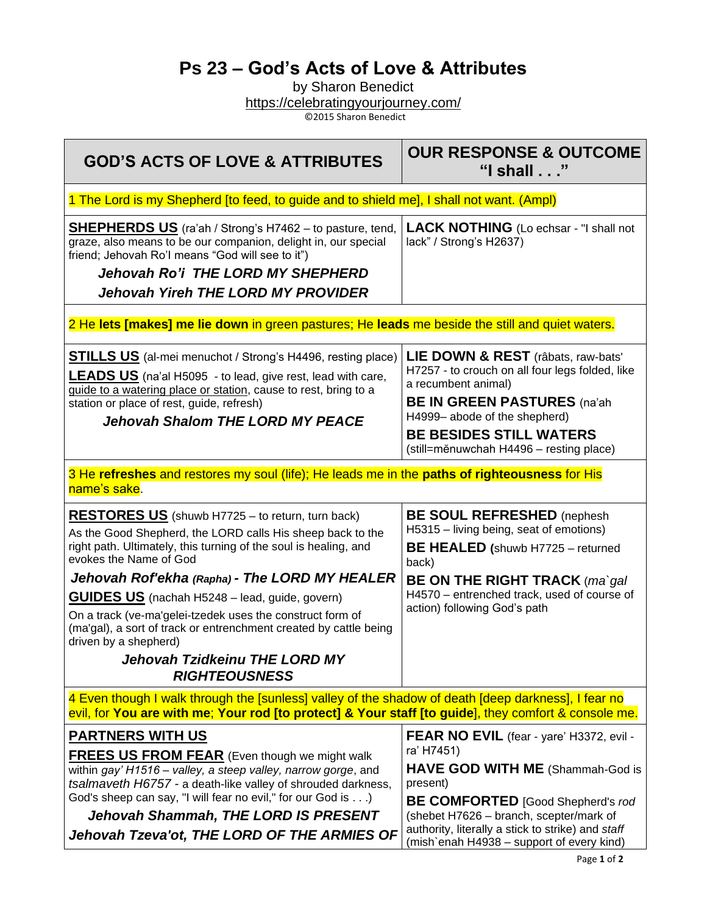## **Ps 23 – God's Acts of Love & Attributes**

by Sharon Benedict <https://celebratingyourjourney.com/>

©2015 Sharon Benedict

| <b>GOD'S ACTS OF LOVE &amp; ATTRIBUTES</b>                                                                                                                                                                                                                                                                                                                             | <b>OUR RESPONSE &amp; OUTCOME</b><br>"I shall"                                                                                                                                                                                                                                                         |
|------------------------------------------------------------------------------------------------------------------------------------------------------------------------------------------------------------------------------------------------------------------------------------------------------------------------------------------------------------------------|--------------------------------------------------------------------------------------------------------------------------------------------------------------------------------------------------------------------------------------------------------------------------------------------------------|
| 1 The Lord is my Shepherd [to feed, to guide and to shield me], I shall not want. (Ampl)                                                                                                                                                                                                                                                                               |                                                                                                                                                                                                                                                                                                        |
| <b>SHEPHERDS US</b> (ra'ah / Strong's H7462 - to pasture, tend,<br>graze, also means to be our companion, delight in, our special<br>friend; Jehovah Ro'l means "God will see to it")<br>Jehovah Ro'i THE LORD MY SHEPHERD<br><b>Jehovah Yireh THE LORD MY PROVIDER</b>                                                                                                | <b>LACK NOTHING</b> (Lo echsar - "I shall not<br>lack" / Strong's H2637)                                                                                                                                                                                                                               |
| 2 He lets [makes] me lie down in green pastures; He leads me beside the still and quiet waters.                                                                                                                                                                                                                                                                        |                                                                                                                                                                                                                                                                                                        |
| <b>STILLS US</b> (al-mei menuchot / Strong's H4496, resting place)<br><b>LEADS US</b> (na'al H5095 - to lead, give rest, lead with care,<br>guide to a watering place or station, cause to rest, bring to a<br>station or place of rest, guide, refresh)<br><b>Jehovah Shalom THE LORD MY PEACE</b>                                                                    | LIE DOWN & REST (râbats, raw-bats'<br>H7257 - to crouch on all four legs folded, like<br>a recumbent animal)<br><b>BE IN GREEN PASTURES (na'ah</b><br>H4999-abode of the shepherd)<br><b>BE BESIDES STILL WATERS</b><br>(still=měnuwchah H4496 – resting place)                                        |
| 3 He refreshes and restores my soul (life); He leads me in the paths of righteousness for His<br>name's sake.                                                                                                                                                                                                                                                          |                                                                                                                                                                                                                                                                                                        |
| <b>RESTORES US</b> (shuwb H7725 – to return, turn back)<br>As the Good Shepherd, the LORD calls His sheep back to the<br>right path. Ultimately, this turning of the soul is healing, and<br>evokes the Name of God                                                                                                                                                    | <b>BE SOUL REFRESHED</b> (nephesh<br>H5315 - living being, seat of emotions)<br><b>BE HEALED</b> (shuwb H7725 - returned<br>back)                                                                                                                                                                      |
| Jehovah Rof'ekha (Rapha) - The LORD MY HEALER                                                                                                                                                                                                                                                                                                                          | <b>BE ON THE RIGHT TRACK</b> (ma`gal                                                                                                                                                                                                                                                                   |
| <b>GUIDES US</b> (nachah H5248 – lead, guide, govern)<br>On a track (ve-ma'gelei-tzedek uses the construct form of<br>(ma'gal), a sort of track or entrenchment created by cattle being<br>driven by a shepherd)<br><b>Jehovah Tzidkeinu THE LORD MY</b><br><b>RIGHTEOUSNESS</b>                                                                                       | H4570 - entrenched track, used of course of<br>action) following God's path                                                                                                                                                                                                                            |
| 4 Even though I walk through the [sunless] valley of the shadow of death [deep darkness], I fear no<br>evil, for You are with me; Your rod [to protect] & Your staff [to guide], they comfort & console me.                                                                                                                                                            |                                                                                                                                                                                                                                                                                                        |
| <b>PARTNERS WITH US</b><br><b>FREES US FROM FEAR</b> (Even though we might walk<br>within gay' H1516 - valley, a steep valley, narrow gorge, and<br>tsalmaveth H6757 - a death-like valley of shrouded darkness,<br>God's sheep can say, "I will fear no evil," for our God is)<br>Jehovah Shammah, THE LORD IS PRESENT<br>Jehovah Tzeva'ot, THE LORD OF THE ARMIES OF | <b>FEAR NO EVIL</b> (fear - yare' H3372, evil -<br>ra' H7451)<br>HAVE GOD WITH ME (Shammah-God is<br>present)<br><b>BE COMFORTED</b> [Good Shepherd's rod<br>(shebet H7626 - branch, scepter/mark of<br>authority, literally a stick to strike) and staff<br>(mish`enah H4938 - support of every kind) |